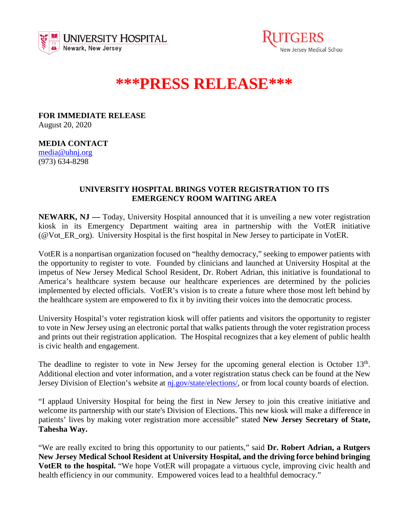



# **\*\*\*PRESS RELEASE\*\*\***

**FOR IMMEDIATE RELEASE** August 20, 2020

**MEDIA CONTACT**

[media@uhnj.org](about:blank) (973) 634-8298

# **UNIVERSITY HOSPITAL BRINGS VOTER REGISTRATION TO ITS EMERGENCY ROOM WAITING AREA**

**NEWARK, NJ** — Today, University Hospital announced that it is unveiling a new voter registration kiosk in its Emergency Department waiting area in partnership with the VotER initiative (@Vot\_ER\_org). University Hospital is the first hospital in New Jersey to participate in VotER.

VotER is a nonpartisan organization focused on "healthy democracy," seeking to empower patients with the opportunity to register to vote. Founded by clinicians and launched at University Hospital at the impetus of New Jersey Medical School Resident, Dr. Robert Adrian, this initiative is foundational to America's healthcare system because our healthcare experiences are determined by the policies implemented by elected officials. VotER's vision is to create a future where those most left behind by the healthcare system are empowered to fix it by inviting their voices into the democratic process.

University Hospital's voter registration kiosk will offer patients and visitors the opportunity to register to vote in New Jersey using an electronic portal that walks patients through the voter registration process and prints out their registration application. The Hospital recognizes that a key element of public health is civic health and engagement.

The deadline to register to vote in New Jersey for the upcoming general election is October  $13<sup>th</sup>$ . Additional election and voter information, and a voter registration status check can be found at the New Jersey Division of Election's website at ni.gov/state/elections/, or from local county boards of election.

"I applaud University Hospital for being the first in New Jersey to join this creative initiative and welcome its partnership with our state's Division of Elections. This new kiosk will make a difference in patients' lives by making voter registration more accessible" stated **New Jersey Secretary of State, Tahesha Way.**

"We are really excited to bring this opportunity to our patients," said **Dr. Robert Adrian, a Rutgers New Jersey Medical School Resident at University Hospital, and the driving force behind bringing VotER to the hospital.** "We hope VotER will propagate a virtuous cycle, improving civic health and health efficiency in our community. Empowered voices lead to a healthful democracy."